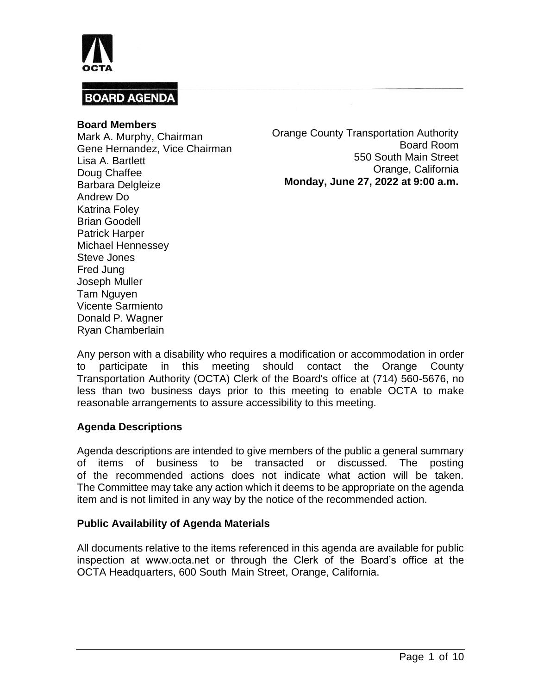

#### **Board Members**

Mark A. Murphy, Chairman Gene Hernandez, Vice Chairman Lisa A. Bartlett Doug Chaffee Barbara Delgleize Andrew Do Katrina Foley Brian Goodell Patrick Harper Michael Hennessey Steve Jones Fred Jung Joseph Muller Tam Nguyen Vicente Sarmiento Donald P. Wagner Ryan Chamberlain

Orange County Transportation Authority Board Room 550 South Main Street Orange, California **Monday, June 27, 2022 at 9:00 a.m.**

Any person with a disability who requires a modification or accommodation in order to participate in this meeting should contact the Orange County Transportation Authority (OCTA) Clerk of the Board's office at (714) 560-5676, no less than two business days prior to this meeting to enable OCTA to make reasonable arrangements to assure accessibility to this meeting.

### **Agenda Descriptions**

Agenda descriptions are intended to give members of the public a general summary of items of business to be transacted or discussed. The posting of the recommended actions does not indicate what action will be taken. The Committee may take any action which it deems to be appropriate on the agenda item and is not limited in any way by the notice of the recommended action.

#### **Public Availability of Agenda Materials**

All documents relative to the items referenced in this agenda are available for public inspection at www.octa.net or through the Clerk of the Board's office at the OCTA Headquarters, 600 South Main Street, Orange, California.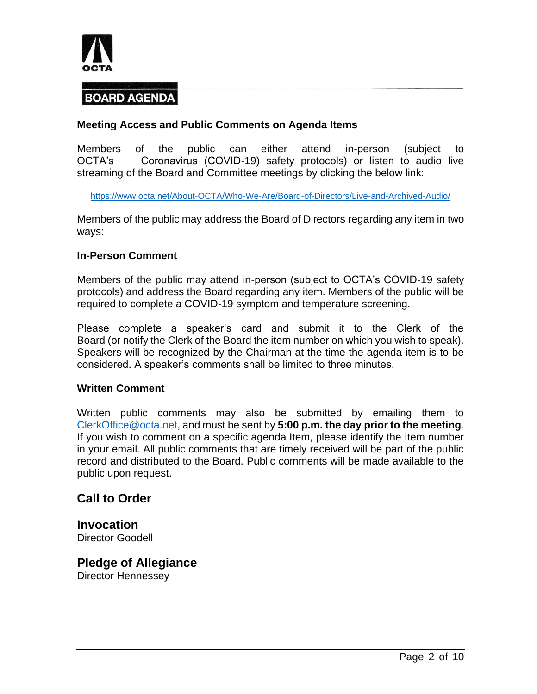

### **Meeting Access and Public Comments on Agenda Items**

Members of the public can either attend in-person (subject to OCTA's Coronavirus (COVID-19) safety protocols) or listen to audio live streaming of the Board and Committee meetings by clicking the below link:

<https://www.octa.net/About-OCTA/Who-We-Are/Board-of-Directors/Live-and-Archived-Audio/>

Members of the public may address the Board of Directors regarding any item in two ways:

#### **In-Person Comment**

Members of the public may attend in-person (subject to OCTA's COVID-19 safety protocols) and address the Board regarding any item. Members of the public will be required to complete a COVID-19 symptom and temperature screening.

Please complete a speaker's card and submit it to the Clerk of the Board (or notify the Clerk of the Board the item number on which you wish to speak). Speakers will be recognized by the Chairman at the time the agenda item is to be considered. A speaker's comments shall be limited to three minutes.

#### **Written Comment**

Written public comments may also be submitted by emailing them to [ClerkOffice@octa.net,](mailto:ClerkOffice@octa.net) and must be sent by **5:00 p.m. the day prior to the meeting**. If you wish to comment on a specific agenda Item, please identify the Item number in your email. All public comments that are timely received will be part of the public record and distributed to the Board. Public comments will be made available to the public upon request.

### **Call to Order**

**Invocation** Director Goodell

**Pledge of Allegiance** Director Hennessey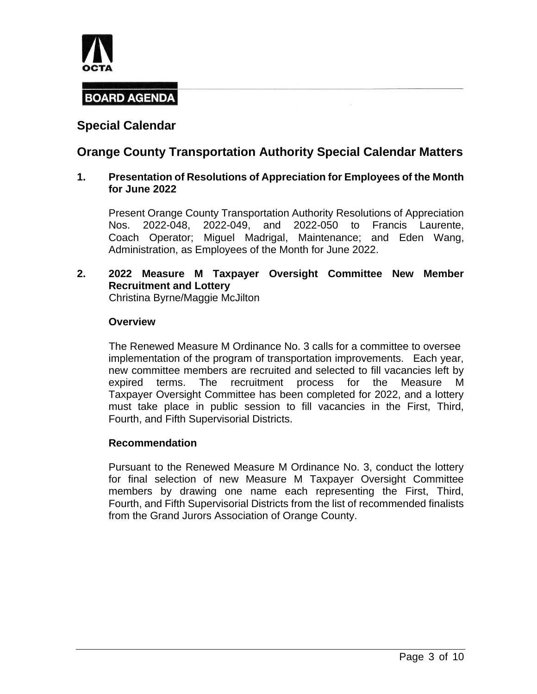

## **Special Calendar**

## **Orange County Transportation Authority Special Calendar Matters**

#### **1. Presentation of Resolutions of Appreciation for Employees of the Month for June 2022**

Present Orange County Transportation Authority Resolutions of Appreciation Nos. 2022-048, 2022-049, and 2022-050 to Francis Laurente, Coach Operator; Miguel Madrigal, Maintenance; and Eden Wang, Administration, as Employees of the Month for June 2022.

**2. 2022 Measure M Taxpayer Oversight Committee New Member Recruitment and Lottery** Christina Byrne/Maggie McJilton

#### **Overview**

The Renewed Measure M Ordinance No. 3 calls for a committee to oversee implementation of the program of transportation improvements. Each year, new committee members are recruited and selected to fill vacancies left by expired terms. The recruitment process for the Measure M Taxpayer Oversight Committee has been completed for 2022, and a lottery must take place in public session to fill vacancies in the First, Third, Fourth, and Fifth Supervisorial Districts.

#### **Recommendation**

Pursuant to the Renewed Measure M Ordinance No. 3, conduct the lottery for final selection of new Measure M Taxpayer Oversight Committee members by drawing one name each representing the First, Third, Fourth, and Fifth Supervisorial Districts from the list of recommended finalists from the Grand Jurors Association of Orange County.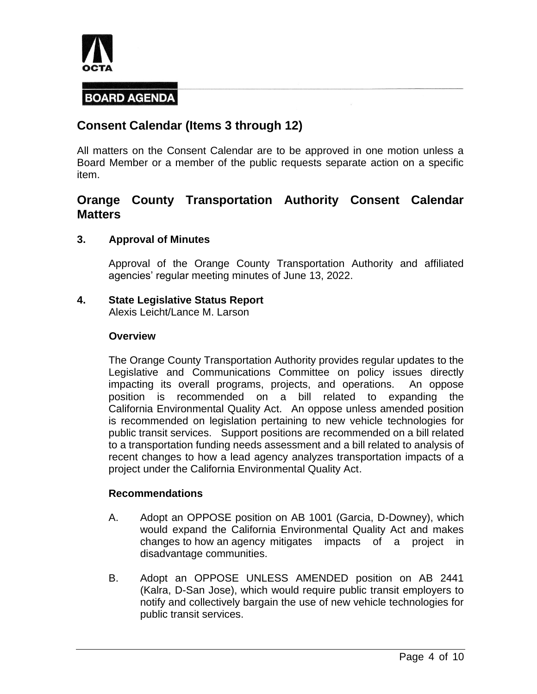

## **Consent Calendar (Items 3 through 12)**

All matters on the Consent Calendar are to be approved in one motion unless a Board Member or a member of the public requests separate action on a specific item.

## **Orange County Transportation Authority Consent Calendar Matters**

#### **3. Approval of Minutes**

Approval of the Orange County Transportation Authority and affiliated agencies' regular meeting minutes of June 13, 2022.

### **4. State Legislative Status Report**

Alexis Leicht/Lance M. Larson

#### **Overview**

The Orange County Transportation Authority provides regular updates to the Legislative and Communications Committee on policy issues directly impacting its overall programs, projects, and operations. An oppose position is recommended on a bill related to expanding the California Environmental Quality Act. An oppose unless amended position is recommended on legislation pertaining to new vehicle technologies for public transit services. Support positions are recommended on a bill related to a transportation funding needs assessment and a bill related to analysis of recent changes to how a lead agency analyzes transportation impacts of a project under the California Environmental Quality Act.

#### **Recommendations**

- A. Adopt an OPPOSE position on AB 1001 (Garcia, D-Downey), which would expand the California Environmental Quality Act and makes changes to how an agency mitigates impacts of a project in disadvantage communities.
- B. Adopt an OPPOSE UNLESS AMENDED position on AB 2441 (Kalra, D-San Jose), which would require public transit employers to notify and collectively bargain the use of new vehicle technologies for public transit services.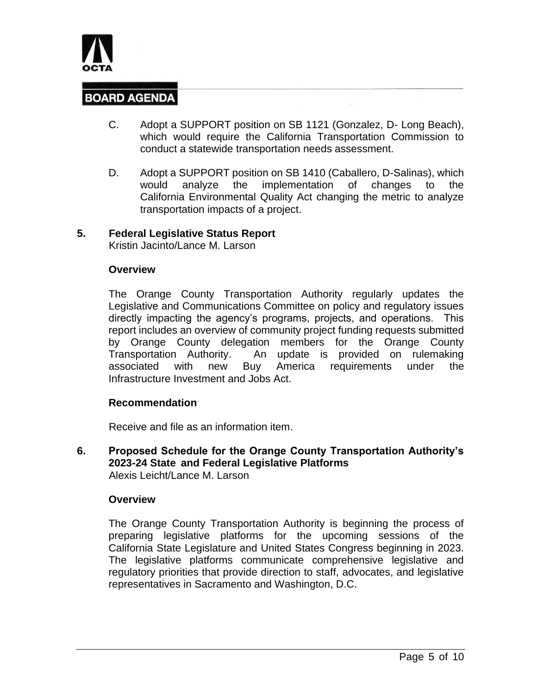

- C. Adopt a SUPPORT position on SB 1121 (Gonzalez, D- Long Beach), which would require the California Transportation Commission to conduct a statewide transportation needs assessment.
- D. Adopt a SUPPORT position on SB 1410 (Caballero, D-Salinas), which would analyze the implementation of changes to the California Environmental Quality Act changing the metric to analyze transportation impacts of a project.

#### **5. Federal Legislative Status Report**

Kristin Jacinto/Lance M. Larson

#### **Overview**

The Orange County Transportation Authority regularly updates the Legislative and Communications Committee on policy and regulatory issues directly impacting the agency's programs, projects, and operations. This report includes an overview of community project funding requests submitted by Orange County delegation members for the Orange County Transportation Authority. An update is provided on rulemaking associated with new Buy America requirements under the Infrastructure Investment and Jobs Act.

#### **Recommendation**

Receive and file as an information item.

**6. Proposed Schedule for the Orange County Transportation Authority's 2023-24 State and Federal Legislative Platforms** Alexis Leicht/Lance M. Larson

#### **Overview**

The Orange County Transportation Authority is beginning the process of preparing legislative platforms for the upcoming sessions of the California State Legislature and United States Congress beginning in 2023. The legislative platforms communicate comprehensive legislative and regulatory priorities that provide direction to staff, advocates, and legislative representatives in Sacramento and Washington, D.C.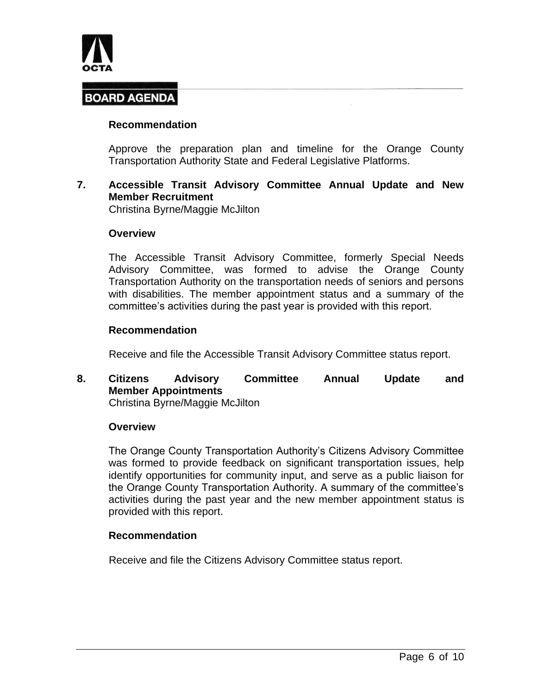

#### **Recommendation**

Approve the preparation plan and timeline for the Orange County Transportation Authority State and Federal Legislative Platforms.

### **7. Accessible Transit Advisory Committee Annual Update and New Member Recruitment**

Christina Byrne/Maggie McJilton

#### **Overview**

The Accessible Transit Advisory Committee, formerly Special Needs Advisory Committee, was formed to advise the Orange County Transportation Authority on the transportation needs of seniors and persons with disabilities. The member appointment status and a summary of the committee's activities during the past year is provided with this report.

#### **Recommendation**

Receive and file the Accessible Transit Advisory Committee status report.

**8. Citizens Advisory Committee Annual Update and Member Appointments** Christina Byrne/Maggie McJilton

#### **Overview**

The Orange County Transportation Authority's Citizens Advisory Committee was formed to provide feedback on significant transportation issues, help identify opportunities for community input, and serve as a public liaison for the Orange County Transportation Authority. A summary of the committee's activities during the past year and the new member appointment status is provided with this report.

#### **Recommendation**

Receive and file the Citizens Advisory Committee status report.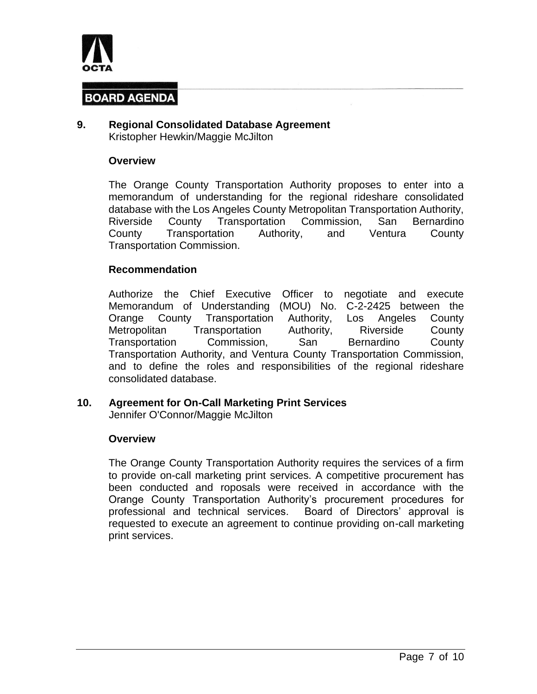

#### **9. Regional Consolidated Database Agreement** Kristopher Hewkin/Maggie McJilton

#### **Overview**

The Orange County Transportation Authority proposes to enter into a memorandum of understanding for the regional rideshare consolidated database with the Los Angeles County Metropolitan Transportation Authority, Riverside County Transportation Commission, San Bernardino County Transportation Authority, and Ventura County Transportation Commission.

#### **Recommendation**

Authorize the Chief Executive Officer to negotiate and execute Memorandum of Understanding (MOU) No. C-2-2425 between the Orange County Transportation Authority, Los Angeles County Metropolitan Transportation Authority, Riverside County Transportation Commission, San Bernardino County Transportation Authority, and Ventura County Transportation Commission, and to define the roles and responsibilities of the regional rideshare consolidated database.

### **10. Agreement for On-Call Marketing Print Services**

Jennifer O'Connor/Maggie McJilton

#### **Overview**

The Orange County Transportation Authority requires the services of a firm to provide on-call marketing print services. A competitive procurement has been conducted and roposals were received in accordance with the Orange County Transportation Authority's procurement procedures for professional and technical services. Board of Directors' approval is requested to execute an agreement to continue providing on-call marketing print services.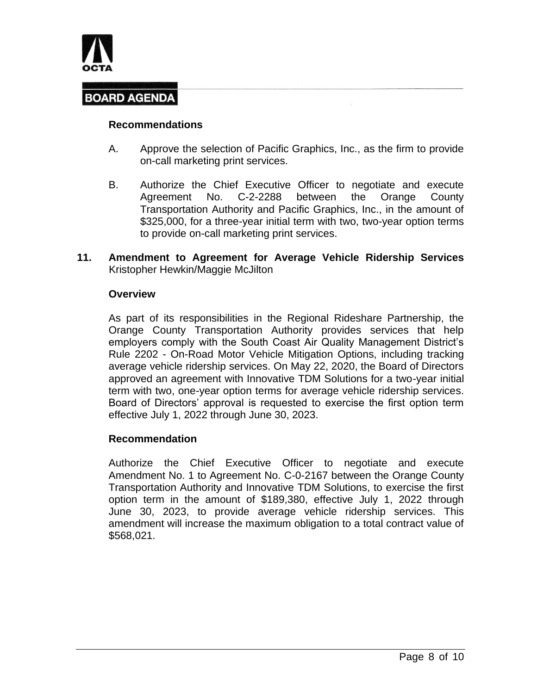

#### **Recommendations**

- A. Approve the selection of Pacific Graphics, Inc., as the firm to provide on-call marketing print services.
- B. Authorize the Chief Executive Officer to negotiate and execute Agreement No. C-2-2288 between the Orange County Transportation Authority and Pacific Graphics, Inc., in the amount of \$325,000, for a three-year initial term with two, two-year option terms to provide on-call marketing print services.
- **11. Amendment to Agreement for Average Vehicle Ridership Services** Kristopher Hewkin/Maggie McJilton

#### **Overview**

As part of its responsibilities in the Regional Rideshare Partnership, the Orange County Transportation Authority provides services that help employers comply with the South Coast Air Quality Management District's Rule 2202 - On-Road Motor Vehicle Mitigation Options, including tracking average vehicle ridership services. On May 22, 2020, the Board of Directors approved an agreement with Innovative TDM Solutions for a two-year initial term with two, one-year option terms for average vehicle ridership services. Board of Directors' approval is requested to exercise the first option term effective July 1, 2022 through June 30, 2023.

#### **Recommendation**

Authorize the Chief Executive Officer to negotiate and execute Amendment No. 1 to Agreement No. C-0-2167 between the Orange County Transportation Authority and Innovative TDM Solutions, to exercise the first option term in the amount of \$189,380, effective July 1, 2022 through June 30, 2023, to provide average vehicle ridership services. This amendment will increase the maximum obligation to a total contract value of \$568,021.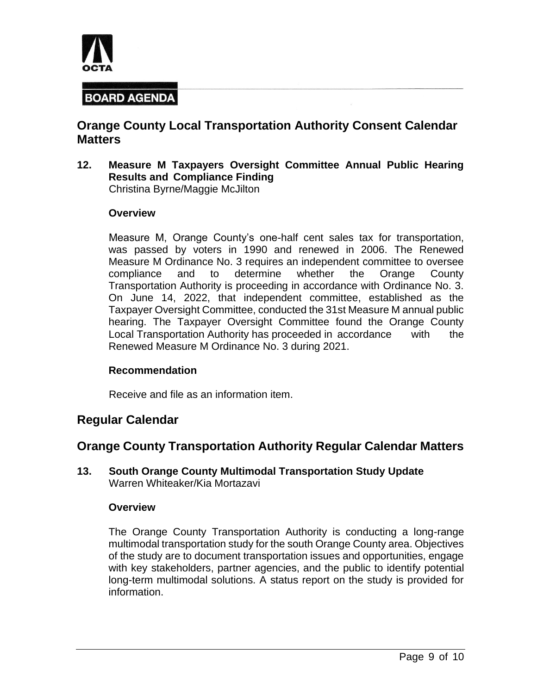

## **Orange County Local Transportation Authority Consent Calendar Matters**

**12. Measure M Taxpayers Oversight Committee Annual Public Hearing Results and Compliance Finding** Christina Byrne/Maggie McJilton

#### **Overview**

Measure M, Orange County's one-half cent sales tax for transportation, was passed by voters in 1990 and renewed in 2006. The Renewed Measure M Ordinance No. 3 requires an independent committee to oversee compliance and to determine whether the Orange County Transportation Authority is proceeding in accordance with Ordinance No. 3. On June 14, 2022, that independent committee, established as the Taxpayer Oversight Committee, conducted the 31st Measure M annual public hearing. The Taxpayer Oversight Committee found the Orange County Local Transportation Authority has proceeded in accordance with the Renewed Measure M Ordinance No. 3 during 2021.

#### **Recommendation**

Receive and file as an information item.

### **Regular Calendar**

### **Orange County Transportation Authority Regular Calendar Matters**

#### **13. South Orange County Multimodal Transportation Study Update** Warren Whiteaker/Kia Mortazavi

#### **Overview**

The Orange County Transportation Authority is conducting a long-range multimodal transportation study for the south Orange County area. Objectives of the study are to document transportation issues and opportunities, engage with key stakeholders, partner agencies, and the public to identify potential long-term multimodal solutions. A status report on the study is provided for information.